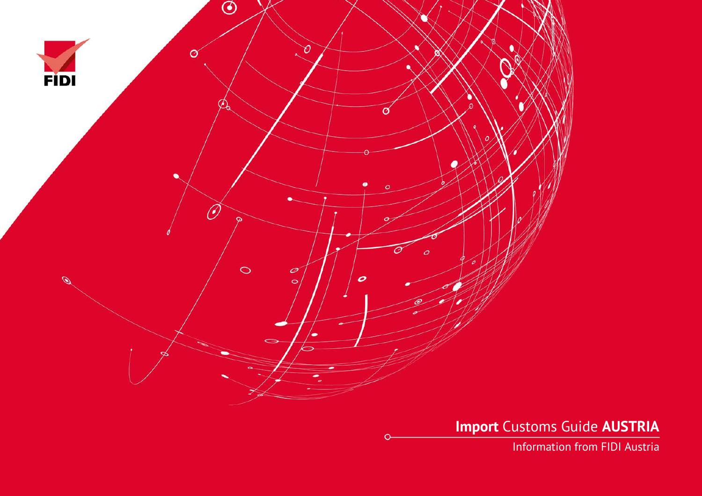

**Import** Customs Guide **AUSTRIA**

Information from FIDI Austria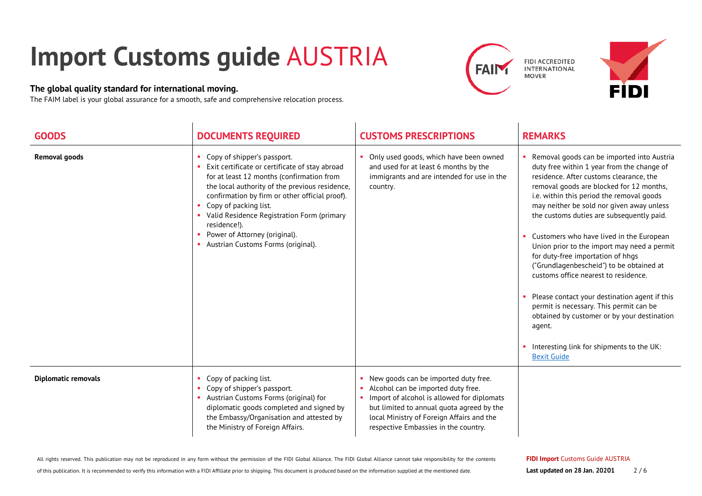## **Import Customs guide** AUSTRIA

## **The global quality standard for international moving.**

The FAIM label is your global assurance for a smooth, safe and comprehensive relocation process.





| <b>GOODS</b>               | <b>DOCUMENTS REQUIRED</b>                                                                                                                                                                                                                                                                                                                                                                    | <b>CUSTOMS PRESCRIPTIONS</b>                                                                                                                                                                                                                                 | <b>REMARKS</b>                                                                                                                                                                                                                                                                                                                                                                                                                                                                                                                                                                                                                                                                                                                                                     |
|----------------------------|----------------------------------------------------------------------------------------------------------------------------------------------------------------------------------------------------------------------------------------------------------------------------------------------------------------------------------------------------------------------------------------------|--------------------------------------------------------------------------------------------------------------------------------------------------------------------------------------------------------------------------------------------------------------|--------------------------------------------------------------------------------------------------------------------------------------------------------------------------------------------------------------------------------------------------------------------------------------------------------------------------------------------------------------------------------------------------------------------------------------------------------------------------------------------------------------------------------------------------------------------------------------------------------------------------------------------------------------------------------------------------------------------------------------------------------------------|
| <b>Removal goods</b>       | Copy of shipper's passport.<br>Exit certificate or certificate of stay abroad<br>for at least 12 months (confirmation from<br>the local authority of the previous residence,<br>confirmation by firm or other official proof).<br>Copy of packing list.<br>Valid Residence Registration Form (primary<br>residence!).<br>Power of Attorney (original).<br>Austrian Customs Forms (original). | Only used goods, which have been owned<br>and used for at least 6 months by the<br>immigrants and are intended for use in the<br>country.                                                                                                                    | Removal goods can be imported into Austria<br>duty free within 1 year from the change of<br>residence. After customs clearance, the<br>removal goods are blocked for 12 months,<br>i.e. within this period the removal goods<br>may neither be sold nor given away unless<br>the customs duties are subsequently paid.<br>Customers who have lived in the European<br>Union prior to the import may need a permit<br>for duty-free importation of hhqs<br>("Grundlagenbescheid") to be obtained at<br>customs office nearest to residence.<br>Please contact your destination agent if this<br>permit is necessary. This permit can be<br>obtained by customer or by your destination<br>agent.<br>Interesting link for shipments to the UK:<br><b>Bexit Guide</b> |
| <b>Diplomatic removals</b> | Copy of packing list.<br>Copy of shipper's passport.<br>Austrian Customs Forms (original) for<br>diplomatic goods completed and signed by<br>the Embassy/Organisation and attested by<br>the Ministry of Foreign Affairs.                                                                                                                                                                    | New goods can be imported duty free.<br>Alcohol can be imported duty free.<br>• Import of alcohol is allowed for diplomats<br>but limited to annual quota agreed by the<br>local Ministry of Foreign Affairs and the<br>respective Embassies in the country. |                                                                                                                                                                                                                                                                                                                                                                                                                                                                                                                                                                                                                                                                                                                                                                    |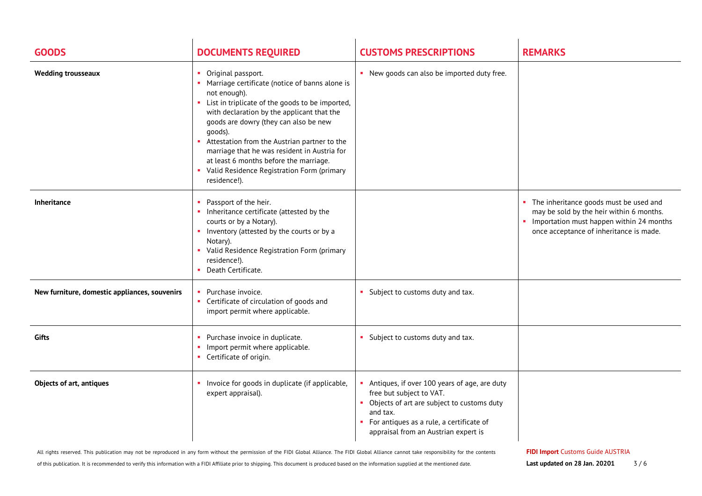| <b>GOODS</b>                                  | <b>DOCUMENTS REQUIRED</b>                                                                                                                                                                                                                                                                                                                                                                                                                                 | <b>CUSTOMS PRESCRIPTIONS</b>                                                                                                                                                                                               | <b>REMARKS</b>                                                                                                                                                                |
|-----------------------------------------------|-----------------------------------------------------------------------------------------------------------------------------------------------------------------------------------------------------------------------------------------------------------------------------------------------------------------------------------------------------------------------------------------------------------------------------------------------------------|----------------------------------------------------------------------------------------------------------------------------------------------------------------------------------------------------------------------------|-------------------------------------------------------------------------------------------------------------------------------------------------------------------------------|
| <b>Wedding trousseaux</b>                     | • Original passport.<br>• Marriage certificate (notice of banns alone is<br>not enough).<br>• List in triplicate of the goods to be imported,<br>with declaration by the applicant that the<br>goods are dowry (they can also be new<br>goods).<br>Attestation from the Austrian partner to the<br>marriage that he was resident in Austria for<br>at least 6 months before the marriage.<br>• Valid Residence Registration Form (primary<br>residence!). | • New goods can also be imported duty free.                                                                                                                                                                                |                                                                                                                                                                               |
| <b>Inheritance</b>                            | Passport of the heir.<br>Inheritance certificate (attested by the<br>courts or by a Notary).<br>Inventory (attested by the courts or by a<br>Notary).<br>• Valid Residence Registration Form (primary<br>residence!).<br>• Death Certificate.                                                                                                                                                                                                             |                                                                                                                                                                                                                            | • The inheritance goods must be used and<br>may be sold by the heir within 6 months.<br>• Importation must happen within 24 months<br>once acceptance of inheritance is made. |
| New furniture, domestic appliances, souvenirs | • Purchase invoice.<br>• Certificate of circulation of goods and<br>import permit where applicable.                                                                                                                                                                                                                                                                                                                                                       | • Subject to customs duty and tax.                                                                                                                                                                                         |                                                                                                                                                                               |
| Gifts                                         | Purchase invoice in duplicate.<br>Import permit where applicable.<br>٠<br>• Certificate of origin.                                                                                                                                                                                                                                                                                                                                                        | • Subject to customs duty and tax.                                                                                                                                                                                         |                                                                                                                                                                               |
| <b>Objects of art, antiques</b>               | • Invoice for goods in duplicate (if applicable,<br>expert appraisal).                                                                                                                                                                                                                                                                                                                                                                                    | Antiques, if over 100 years of age, are duty<br>free but subject to VAT.<br>• Objects of art are subject to customs duty<br>and tax.<br>• For antiques as a rule, a certificate of<br>appraisal from an Austrian expert is |                                                                                                                                                                               |

All rights reserved. This publication may not be reproduced in any form without the permission of the FIDI Global Alliance. The FIDI Global Alliance cannot take responsibility for the contents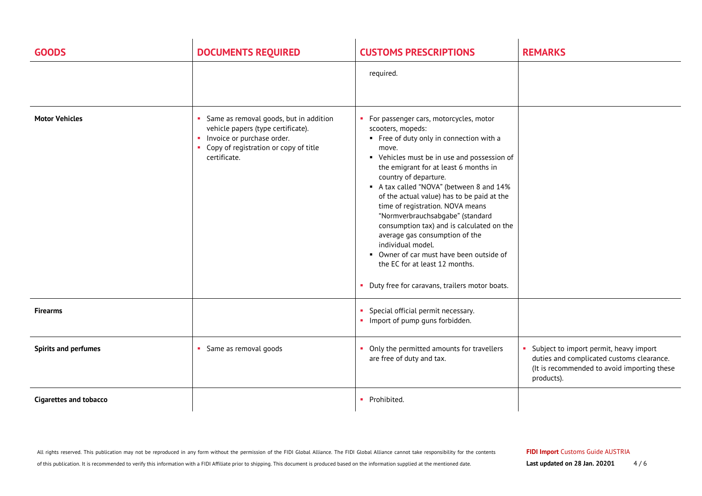| <b>GOODS</b>                  | <b>DOCUMENTS REQUIRED</b>                                                                                                                                             | <b>CUSTOMS PRESCRIPTIONS</b>                                                                                                                                                                                                                                                                                                                                                                                                                                                                                                                                                                                                             | <b>REMARKS</b>                                                                                                                                         |
|-------------------------------|-----------------------------------------------------------------------------------------------------------------------------------------------------------------------|------------------------------------------------------------------------------------------------------------------------------------------------------------------------------------------------------------------------------------------------------------------------------------------------------------------------------------------------------------------------------------------------------------------------------------------------------------------------------------------------------------------------------------------------------------------------------------------------------------------------------------------|--------------------------------------------------------------------------------------------------------------------------------------------------------|
|                               |                                                                                                                                                                       | required.                                                                                                                                                                                                                                                                                                                                                                                                                                                                                                                                                                                                                                |                                                                                                                                                        |
| <b>Motor Vehicles</b>         | Same as removal goods, but in addition<br>vehicle papers (type certificate).<br>Invoice or purchase order.<br>• Copy of registration or copy of title<br>certificate. | • For passenger cars, motorcycles, motor<br>scooters, mopeds:<br>• Free of duty only in connection with a<br>move.<br>• Vehicles must be in use and possession of<br>the emigrant for at least 6 months in<br>country of departure.<br>A tax called "NOVA" (between 8 and 14%<br>of the actual value) has to be paid at the<br>time of registration. NOVA means<br>"Normverbrauchsabgabe" (standard<br>consumption tax) and is calculated on the<br>average gas consumption of the<br>individual model.<br>• Owner of car must have been outside of<br>the EC for at least 12 months.<br>• Duty free for caravans, trailers motor boats. |                                                                                                                                                        |
| <b>Firearms</b>               |                                                                                                                                                                       | • Special official permit necessary.<br>• Import of pump guns forbidden.                                                                                                                                                                                                                                                                                                                                                                                                                                                                                                                                                                 |                                                                                                                                                        |
| <b>Spirits and perfumes</b>   | • Same as removal goods                                                                                                                                               | • Only the permitted amounts for travellers<br>are free of duty and tax.                                                                                                                                                                                                                                                                                                                                                                                                                                                                                                                                                                 | Subject to import permit, heavy import<br>a.<br>duties and complicated customs clearance.<br>(It is recommended to avoid importing these<br>products). |
| <b>Cigarettes and tobacco</b> |                                                                                                                                                                       | • Prohibited.                                                                                                                                                                                                                                                                                                                                                                                                                                                                                                                                                                                                                            |                                                                                                                                                        |

of this publication. It is recommended to verify this information with a FIDI Affiliate prior to shipping. This document is produced based on the information supplied at the mentioned date.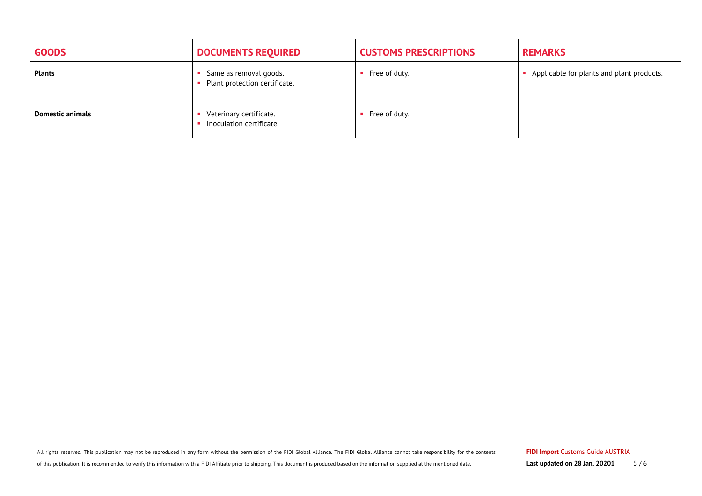| <b>GOODS</b>            | <b>DOCUMENTS REQUIRED</b>                               | <b>CUSTOMS PRESCRIPTIONS</b> | <b>REMARKS</b>                            |
|-------------------------|---------------------------------------------------------|------------------------------|-------------------------------------------|
| <b>Plants</b>           | Same as removal goods.<br>Plant protection certificate. | Free of duty.                | Applicable for plants and plant products. |
| <b>Domestic animals</b> | Veterinary certificate.<br>Inoculation certificate.     | Free of duty.                |                                           |

All rights reserved. This publication may not be reproduced in any form without the permission of the FIDI Global Alliance. The FIDI Global Alliance cannot take responsibility for the contents

of this publication. It is recommended to verify this information with a FIDI Affiliate prior to shipping. This document is produced based on the information supplied at the mentioned date.